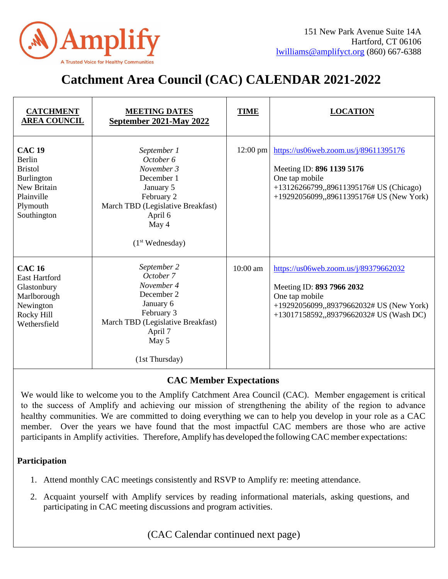

## **Catchment Area Council (CAC) CALENDAR 2021-2022**

| <b>CATCHMENT</b><br><b>AREA COUNCIL</b>                                                                         | <b>MEETING DATES</b><br>September 2021-May 2022                                                                                                                         | <b>TIME</b> | <b>LOCATION</b>                                                                                                                                                             |
|-----------------------------------------------------------------------------------------------------------------|-------------------------------------------------------------------------------------------------------------------------------------------------------------------------|-------------|-----------------------------------------------------------------------------------------------------------------------------------------------------------------------------|
| <b>CAC 19</b><br>Berlin<br><b>Bristol</b><br>Burlington<br>New Britain<br>Plainville<br>Plymouth<br>Southington | September 1<br>October 6<br>November 3<br>December 1<br>January 5<br>February 2<br>March TBD (Legislative Breakfast)<br>April 6<br>May 4<br>(1 <sup>st</sup> Wednesday) | $12:00$ pm  | https://us06web.zoom.us/j/89611395176<br>Meeting ID: 896 1139 5176<br>One tap mobile<br>+13126266799,,89611395176# US (Chicago)<br>+19292056099,,89611395176# US (New York) |
| <b>CAC 16</b><br><b>East Hartford</b><br>Glastonbury<br>Marlborough<br>Newington<br>Rocky Hill<br>Wethersfield  | September 2<br>October 7<br>November 4<br>December 2<br>January 6<br>February 3<br>March TBD (Legislative Breakfast)<br>April 7<br>May 5<br>(1st Thursday)              | 10:00 am    | https://us06web.zoom.us/j/89379662032<br>Meeting ID: 893 7966 2032<br>One tap mobile<br>+19292056099,,89379662032# US (New York)<br>+13017158592,,89379662032# US (Wash DC) |

## **CAC Member Expectations**

We would like to welcome you to the Amplify Catchment Area Council (CAC). Member engagement is critical to the success of Amplify and achieving our mission of strengthening the ability of the region to advance healthy communities. We are committed to doing everything we can to help you develop in your role as a CAC member. Over the years we have found that the most impactful CAC members are those who are active participants in Amplify activities. Therefore, Amplify has developed the following CAC member expectations:

## **Participation**

- 1. Attend monthly CAC meetings consistently and RSVP to Amplify re: meeting attendance.
- 2. Acquaint yourself with Amplify services by reading informational materials, asking questions, and participating in CAC meeting discussions and program activities.

(CAC Calendar continued next page)